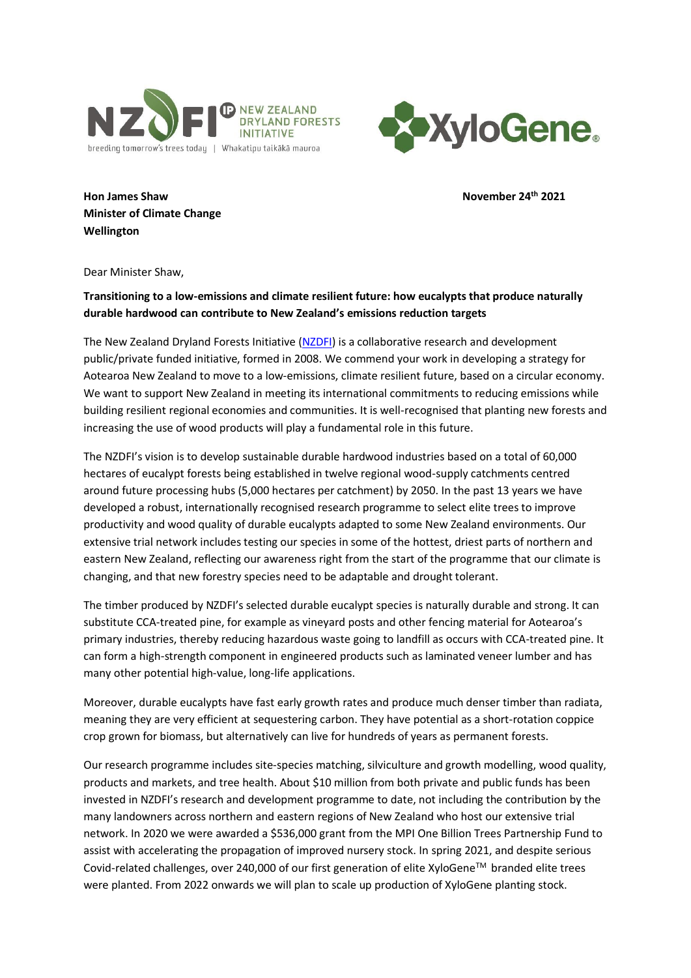



**Hon James Shaw November 24th 2021 Minister of Climate Change Wellington**

Dear Minister Shaw,

## **Transitioning to a low-emissions and climate resilient future: how eucalypts that produce naturally durable hardwood can contribute to New Zealand's emissions reduction targets**

The New Zealand Dryland Forests Initiative [\(NZDFI\)](https://nzdfi.org.nz/) is a collaborative research and development public/private funded initiative, formed in 2008. We commend your work in developing a strategy for Aotearoa New Zealand to move to a low-emissions, climate resilient future, based on a circular economy. We want to support New Zealand in meeting its international commitments to reducing emissions while building resilient regional economies and communities. It is well-recognised that planting new forests and increasing the use of wood products will play a fundamental role in this future.

The NZDFI's vision is to develop sustainable durable hardwood industries based on a total of 60,000 hectares of eucalypt forests being established in twelve regional wood-supply catchments centred around future processing hubs (5,000 hectares per catchment) by 2050. In the past 13 years we have developed a robust, internationally recognised research programme to select elite trees to improve productivity and wood quality of durable eucalypts adapted to some New Zealand environments. Our extensive trial network includes testing our species in some of the hottest, driest parts of northern and eastern New Zealand, reflecting our awareness right from the start of the programme that our climate is changing, and that new forestry species need to be adaptable and drought tolerant.

The timber produced by NZDFI's selected durable eucalypt species is naturally durable and strong. It can substitute CCA-treated pine, for example as vineyard posts and other fencing material for Aotearoa's primary industries, thereby reducing hazardous waste going to landfill as occurs with CCA-treated pine. It can form a high-strength component in engineered products such as laminated veneer lumber and has many other potential high-value, long-life applications.

Moreover, durable eucalypts have fast early growth rates and produce much denser timber than radiata, meaning they are very efficient at sequestering carbon. They have potential as a short-rotation coppice crop grown for biomass, but alternatively can live for hundreds of years as permanent forests.

Our research programme includes site-species matching, silviculture and growth modelling, wood quality, products and markets, and tree health. About \$10 million from both private and public funds has been invested in NZDFI's research and development programme to date, not including the contribution by the many landowners across northern and eastern regions of New Zealand who host our extensive trial network. In 2020 we were awarded a \$536,000 grant from the MPI One Billion Trees Partnership Fund to assist with accelerating the propagation of improved nursery stock. In spring 2021, and despite serious Covid-related challenges, over 240,000 of our first generation of elite XyloGene<sup>TM</sup> branded elite trees were planted. From 2022 onwards we will plan to scale up production of XyloGene planting stock.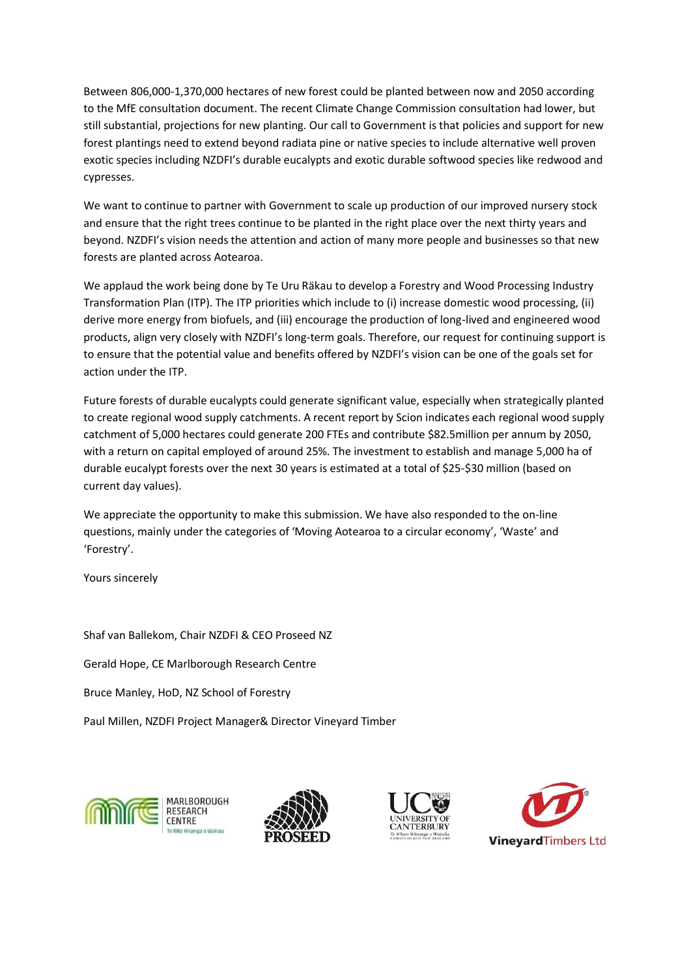Between 806,000-1,370,000 hectares of new forest could be planted between now and 2050 according to the MfE consultation document. The recent Climate Change Commission consultation had lower, but still substantial, projections for new planting. Our call to Government is that policies and support for new forest plantings need to extend beyond radiata pine or native species to include alternative well proven exotic species including NZDFI's durable eucalypts and exotic durable softwood species like redwood and cypresses.

We want to continue to partner with Government to scale up production of our improved nursery stock and ensure that the right trees continue to be planted in the right place over the next thirty years and beyond. NZDFI's vision needs the attention and action of many more people and businesses so that new forests are planted across Aotearoa.

We applaud the work being done by Te Uru Räkau to develop a Forestry and Wood Processing Industry Transformation Plan (ITP). The ITP priorities which include to (i) increase domestic wood processing, (ii) derive more energy from biofuels, and (iii) encourage the production of long-lived and engineered wood products, align very closely with NZDFI's long-term goals. Therefore, our request for continuing support is to ensure that the potential value and benefits offered by NZDFI's vision can be one of the goals set for action under the ITP.

Future forests of durable eucalypts could generate significant value, especially when strategically planted to create regional wood supply catchments. A recent report by Scion indicates each regional wood supply catchment of 5,000 hectares could generate 200 FTEs and contribute \$82.5million per annum by 2050, with a return on capital employed of around 25%. The investment to establish and manage 5,000 ha of durable eucalypt forests over the next 30 years is estimated at a total of \$25-\$30 million (based on current day values).

We appreciate the opportunity to make this submission. We have also responded to the on-line questions, mainly under the categories of 'Moving Aotearoa to a circular economy', 'Waste' and 'Forestry'.

Yours sincerely

Shaf van Ballekom, Chair NZDFI & CEO Proseed NZ

Gerald Hope, CE Marlborough Research Centre

Bruce Manley, HoD, NZ School of Forestry

Paul Millen, NZDFI Project Manager& Director Vineyard Timber